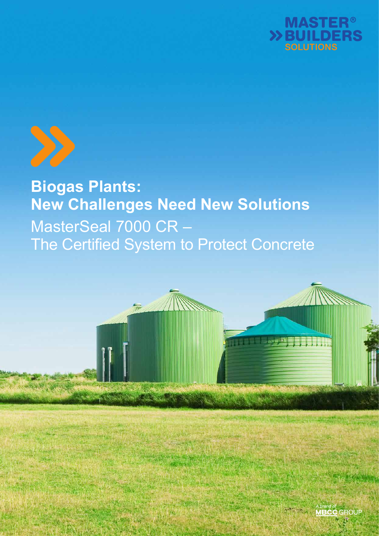



**Biogas Plants: New Challenges Need New Solutions** MasterSeal 7000 CR – The Certified System to Protect Concrete

 $\overline{\mathbb{R}}$ 



*<u>ANTICOLOGICAL</u>*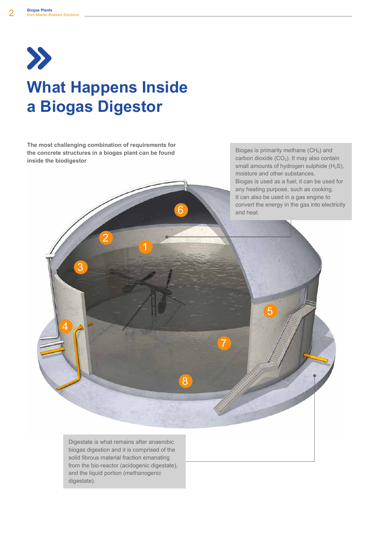

# **What Happens Inside a Biogas Digestor**

**The most challenging combination of requirements for the concrete structures in a biogas plant can be found inside the biodigestor**

2

3

4

1

6

8

7

Biogas is primarily methane  $(CH<sub>4</sub>)$  and carbon dioxide  $(CO<sub>2</sub>)$ . It may also contain small amounts of hydrogen sulphide  $(H_2S)$ , moisture and other substances. Biogas is used as a fuel; it can be used for any heating purpose, such as cooking. It can also be used in a gas engine to convert the energy in the gas into electricity and heat.

5

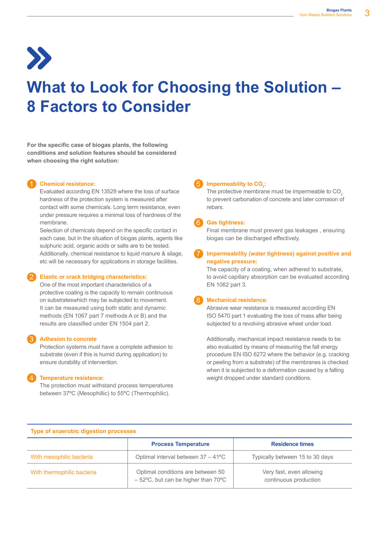# **What to Look for Choosing the Solution – 8 Factors to Consider**

**For the specific case of biogas plants, the following conditions and solution features should be considered when choosing the right solution:** 

#### 1 **Chemical resistance:**

Evaluated according EN 13529 where the loss of surface hardness of the protection system is measured after contact with some chemicals. Long term resistance, even under pressure requires a minimal loss of hardness of the membrane.

Selection of chemicals depend on the specific contact in each case, but in the situation of biogas plants, agents like sulphuric acid, organic acids or salts are to be tested. Additionally, chemical resistance to liquid manure & silage, etc will be necessary for applications in storage facilities.

#### 2 **Elastic or crack bridging characteristics:**

One of the most important characteristics of a protective coating is the capacity to remain continuous on substrateswhich may be subjected to movement. It can be measured using both static and dynamic methods (EN 1067 part 7 methods A or B) and the results are classified under EN 1504 part 2.

#### 3 **Adhesion to concrete**

Protection systems must have a complete adhesion to substrate (even if this is humid during application) to ensure durability of intervention.

#### 4 **Temperature resistance:**

The protection must withstand process temperatures between 37ºC (Mesophillic) to 55ºC (Thermophilic).

## **5** Impermeability to CO<sub>2</sub>:

The protective membrane must be impermeable to CO<sub>2</sub> to prevent carbonation of concrete and later corrosion of rebars.

#### 6 **Gas tightness:**

Final membrane must prevent gas leakages , ensuring biogas can be discharged effectively.

#### 7 **Impermeability (water tightness) against positive and negative pressure:**

The capacity of a coating, when adhered to substrate, to avoid capillary absorption can be evaluated according EN 1062 part 3.

#### 8 **Mechanical resistance:**

Abrasive wear resistance is measured according EN ISO 5470 part 1 evaluating the loss of mass after being subjected to a revolving abrasive wheel under load.

Additionally, mechanical impact resistance needs to be also evaluated by means of measuring the fall energy procedure EN ISO 6272 where the behavior (e.g. cracking or peeling from a substrate) of the membranes is checked when it is subjected to a deformation caused by a falling weight dropped under standard conditions.

|                            | <b>Process Temperature</b>                                                                   | <b>Residence times</b>                            |  |  |
|----------------------------|----------------------------------------------------------------------------------------------|---------------------------------------------------|--|--|
| With mesophilic bacteria   | Optimal interval between $37 - 41^{\circ}$ C                                                 | Typically between 15 to 30 days                   |  |  |
| With thermophilic bacteria | Optimal conditions are between 50<br>$-52^{\circ}$ C, but can be higher than 70 $^{\circ}$ C | Very fast, even allowing<br>continuous production |  |  |

#### **Type of anaerobic digestion processes**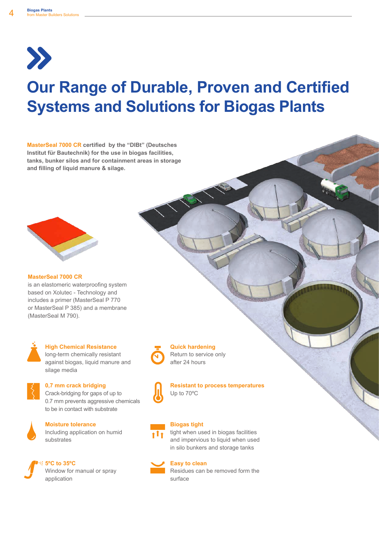

# **Our Range of Durable, Proven and Certified Systems and Solutions for Biogas Plants**

**MasterSeal 7000 CR certified by the "DIBt" (Deutsches Institut für Bautechnik) for the use in biogas facilities, tanks, bunker silos and for containment areas in storage and filling of liquid manure & silage.**



#### **MasterSeal 7000 CR**

is an elastomeric waterproofing system based on Xolutec - Technology and includes a primer (MasterSeal P 770 or MasterSeal P 385) and a membrane (MasterSeal M 790).



#### **High Chemical Resistance**

long-term chemically resistant against biogas, liquid manure and silage media



#### **0,7 mm crack bridging**

Crack-bridging for gaps of up to 0.7 mm prevents aggressive chemicals to be in contact with substrate



# **Moisture tolerance**

Including application on humid substrates



Window for manual or spray



# **Quick hardening**

Return to service only after 24 hours



#### **Resistant to process temperatures** Up to 70ºC

# **Biogas tight**

tight when used in biogas facilities and impervious to liquid when used in silo bunkers and storage tanks

## **Easy to clean**

Residues can be removed form the surface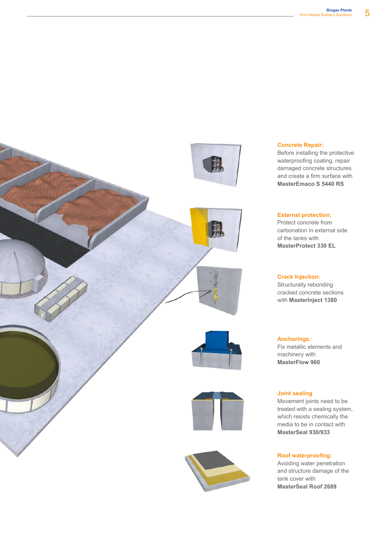

#### **Concrete Repair:**

Before installing the protective waterproofing coating, repair damaged concrete structures and create a firm surface with **MasterEmaco S 5440 RS**

#### **External protection:**

Protect concrete from carbonation in external side of the tanks with **MasterProtect 330 EL**

#### **Crack Injection:**

Structurally rebonding cracked concrete sections with **MasterInject 1380**

**Anchorings:** Fix metallic elements and machinery with **MasterFlow 960**

#### **Joint sealing**

Movement joints need to be treated with a sealing system, which resists chemically the media to be in contact with **MasterSeal 930/933**

#### **Roof waterproofing:**

Avoiding water penetration and structure damage of the tank cover with **MasterSeal Roof 2689**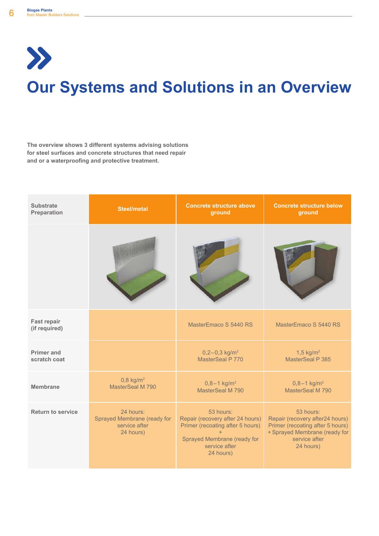$\boldsymbol{\Sigma}$ 

# **Our Systems and Solutions in an Overview**

**The overview shows 3 different systems advising solutions for steel surfaces and concrete structures that need repair and or a waterproofing and protective treatment.**

| <b>Substrate</b>                    | <b>Steel/metal</b>                                                     | <b>Concrete structure above</b>                                                                                                                | <b>Concrete structure below</b>                                                                                                                 |  |
|-------------------------------------|------------------------------------------------------------------------|------------------------------------------------------------------------------------------------------------------------------------------------|-------------------------------------------------------------------------------------------------------------------------------------------------|--|
| Preparation                         |                                                                        | ground                                                                                                                                         | ground                                                                                                                                          |  |
|                                     |                                                                        |                                                                                                                                                |                                                                                                                                                 |  |
| <b>Fast repair</b><br>(if required) |                                                                        | MasterEmaco S 5440 RS                                                                                                                          | MasterEmaco S 5440 RS                                                                                                                           |  |
| <b>Primer and</b>                   |                                                                        | $0,2-0,3$ kg/m <sup>2</sup>                                                                                                                    | 1,5 $kg/m2$                                                                                                                                     |  |
| scratch coat                        |                                                                        | MasterSeal P 770                                                                                                                               | MasterSeal P 385                                                                                                                                |  |
| Membrane                            | $0,8$ kg/m <sup>2</sup>                                                | $0,8 - 1$ kg/m <sup>2</sup>                                                                                                                    | $0,8 - 1$ kg/m <sup>2</sup>                                                                                                                     |  |
|                                     | MasterSeal M 790                                                       | MasterSeal M 790                                                                                                                               | MasterSeal M 790                                                                                                                                |  |
| <b>Return to service</b>            | 24 hours:<br>Sprayed Membrane (ready for<br>service after<br>24 hours) | 53 hours:<br>Repair (recovery after 24 hours)<br>Primer (recoating after 5 hours)<br>Sprayed Membrane (ready for<br>service after<br>24 hours) | 53 hours:<br>Repair (recovery after24 hours)<br>Primer (recoating after 5 hours)<br>+ Sprayed Membrane (ready for<br>service after<br>24 hours) |  |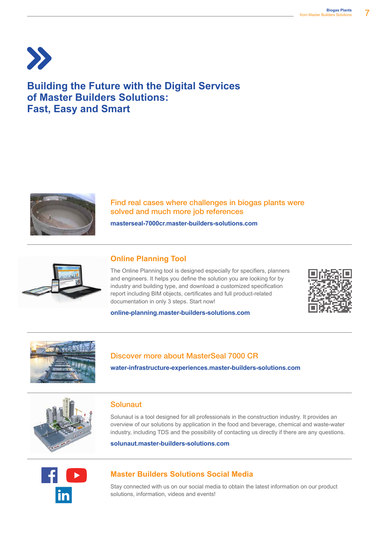

# **Building the Future with the Digital Services of Master Builders Solutions: Fast, Easy and Smart**



Find real cases where challenges in biogas plants were solved and much more job references

**masterseal-7000cr.master-builders-solutions.com**



# **Online Planning Tool**

The Online Planning tool is designed especially for specifiers, planners and engineers. It helps you define the solution you are looking for by industry and building type, and download a customized specification report including BIM objects, certificates and full product-related documentation in only 3 steps. Start now!



# **online-planning.master-builders-solutions.com**



### Discover more about MasterSeal 7000 CR

**water-infrastructure-experiences.master-builders-solutions.com**



# Solunaut

Solunaut is a tool designed for all professionals in the construction industry. It provides an overview of our solutions by application in the food and beverage, chemical and waste-water industry, including TDS and the possibility of contacting us directly if there are any questions.

**solunaut.master-builders-solutions.com**



# **Master Builders Solutions Social Media**

Stay connected with us on our social media to obtain the latest information on our product solutions, information, videos and events!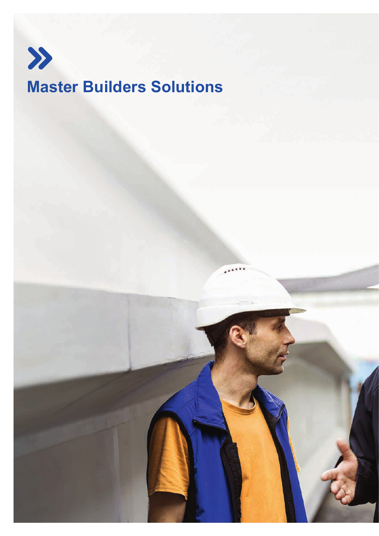

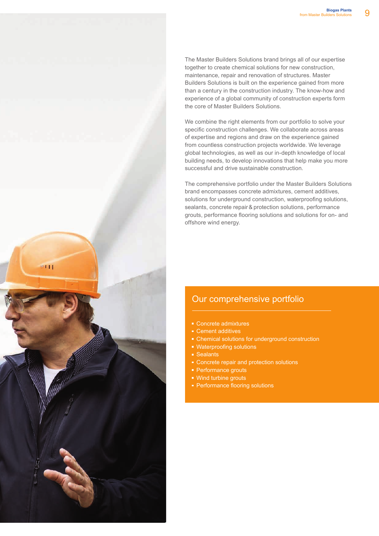$-111$ 

The Master Builders Solutions brand brings all of our expertise together to create chemical solutions for new construction, maintenance, repair and renovation of structures. Master Builders Solutions is built on the experience gained from more than a century in the construction industry. The know-how and experience of a global community of construction experts form the core of Master Builders Solutions.

We combine the right elements from our portfolio to solve your specific construction challenges. We collaborate across areas of expertise and regions and draw on the experience gained from countless construction projects worldwide. We leverage global technologies, as well as our in-depth knowledge of local building needs, to develop innovations that help make you more successful and drive sustainable construction.

The comprehensive portfolio under the Master Builders Solutions brand encompasses concrete admixtures, cement additives, solutions for underground construction, waterproofing solutions, sealants, concrete repair & protection solutions, performance grouts, performance flooring solutions and solutions for on- and offshore wind energy.

# Our comprehensive portfolio

- Concrete admixtures
- Cement additives
- **Chemical solutions for underground construction**
- Waterproofing solutions
- Sealants
- **EX Concrete repair and protection solutions**
- Performance grouts
- Wind turbine grouts
- **Performance flooring solutions**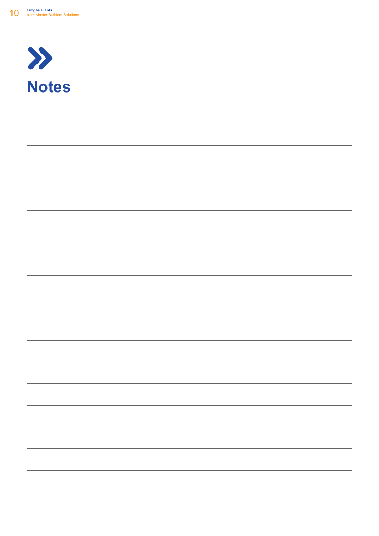